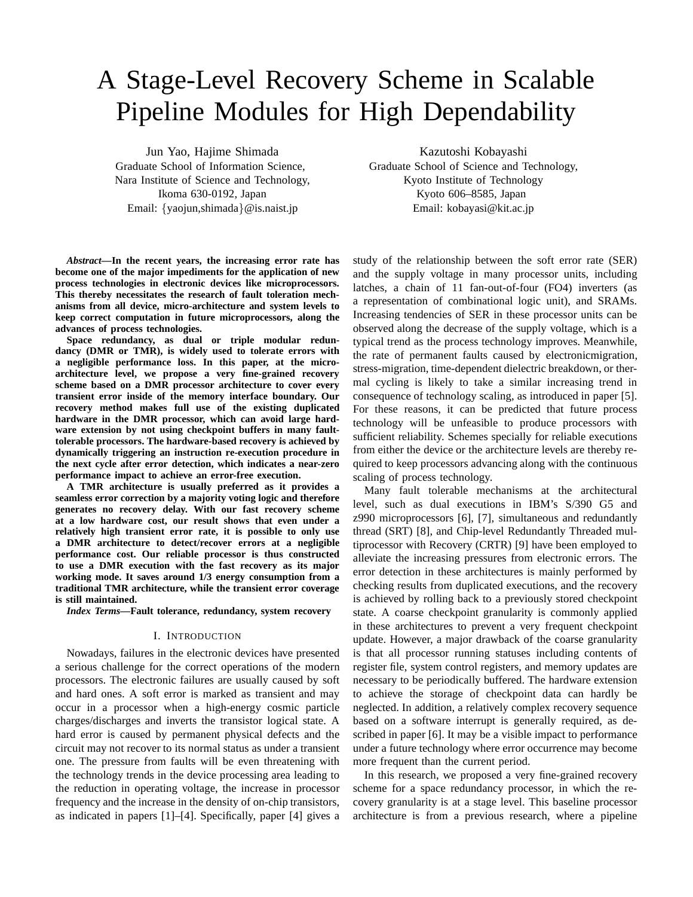# A Stage-Level Recovery Scheme in Scalable Pipeline Modules for High Dependability

Jun Yao, Hajime Shimada Graduate School of Information Science, Nara Institute of Science and Technology, Ikoma 630-0192, Japan Email: {yaojun,shimada}@is.naist.jp

*Abstract***—In the recent years, the increasing error rate has become one of the major impediments for the application of new process technologies in electronic devices like microprocessors. This thereby necessitates the research of fault toleration mechanisms from all device, micro-architecture and system levels to keep correct computation in future microprocessors, along the advances of process technologies.**

**Space redundancy, as dual or triple modular redundancy (DMR or TMR), is widely used to tolerate errors with a negligible performance loss. In this paper, at the microarchitecture level, we propose a very fine-grained recovery scheme based on a DMR processor architecture to cover every transient error inside of the memory interface boundary. Our recovery method makes full use of the existing duplicated hardware in the DMR processor, which can avoid large hardware extension by not using checkpoint buffers in many faulttolerable processors. The hardware-based recovery is achieved by dynamically triggering an instruction re-execution procedure in the next cycle after error detection, which indicates a near-zero performance impact to achieve an error-free execution.**

**A TMR architecture is usually preferred as it provides a seamless error correction by a majority voting logic and therefore generates no recovery delay. With our fast recovery scheme at a low hardware cost, our result shows that even under a relatively high transient error rate, it is possible to only use a DMR architecture to detect/recover errors at a negligible performance cost. Our reliable processor is thus constructed to use a DMR execution with the fast recovery as its major working mode. It saves around 1/3 energy consumption from a traditional TMR architecture, while the transient error coverage is still maintained.**

*Index Terms***—Fault tolerance, redundancy, system recovery**

#### I. INTRODUCTION

Nowadays, failures in the electronic devices have presented a serious challenge for the correct operations of the modern processors. The electronic failures are usually caused by soft and hard ones. A soft error is marked as transient and may occur in a processor when a high-energy cosmic particle charges/discharges and inverts the transistor logical state. A hard error is caused by permanent physical defects and the circuit may not recover to its normal status as under a transient one. The pressure from faults will be even threatening with the technology trends in the device processing area leading to the reduction in operating voltage, the increase in processor frequency and the increase in the density of on-chip transistors, as indicated in papers [1]–[4]. Specifically, paper [4] gives a

Kazutoshi Kobayashi

Graduate School of Science and Technology, Kyoto Institute of Technology Kyoto 606–8585, Japan Email: kobayasi@kit.ac.jp

study of the relationship between the soft error rate (SER) and the supply voltage in many processor units, including latches, a chain of 11 fan-out-of-four (FO4) inverters (as a representation of combinational logic unit), and SRAMs. Increasing tendencies of SER in these processor units can be observed along the decrease of the supply voltage, which is a typical trend as the process technology improves. Meanwhile, the rate of permanent faults caused by electronicmigration, stress-migration, time-dependent dielectric breakdown, or thermal cycling is likely to take a similar increasing trend in consequence of technology scaling, as introduced in paper [5]. For these reasons, it can be predicted that future process technology will be unfeasible to produce processors with sufficient reliability. Schemes specially for reliable executions from either the device or the architecture levels are thereby required to keep processors advancing along with the continuous scaling of process technology.

Many fault tolerable mechanisms at the architectural level, such as dual executions in IBM's S/390 G5 and z990 microprocessors [6], [7], simultaneous and redundantly thread (SRT) [8], and Chip-level Redundantly Threaded multiprocessor with Recovery (CRTR) [9] have been employed to alleviate the increasing pressures from electronic errors. The error detection in these architectures is mainly performed by checking results from duplicated executions, and the recovery is achieved by rolling back to a previously stored checkpoint state. A coarse checkpoint granularity is commonly applied in these architectures to prevent a very frequent checkpoint update. However, a major drawback of the coarse granularity is that all processor running statuses including contents of register file, system control registers, and memory updates are necessary to be periodically buffered. The hardware extension to achieve the storage of checkpoint data can hardly be neglected. In addition, a relatively complex recovery sequence based on a software interrupt is generally required, as described in paper [6]. It may be a visible impact to performance under a future technology where error occurrence may become more frequent than the current period.

In this research, we proposed a very fine-grained recovery scheme for a space redundancy processor, in which the recovery granularity is at a stage level. This baseline processor architecture is from a previous research, where a pipeline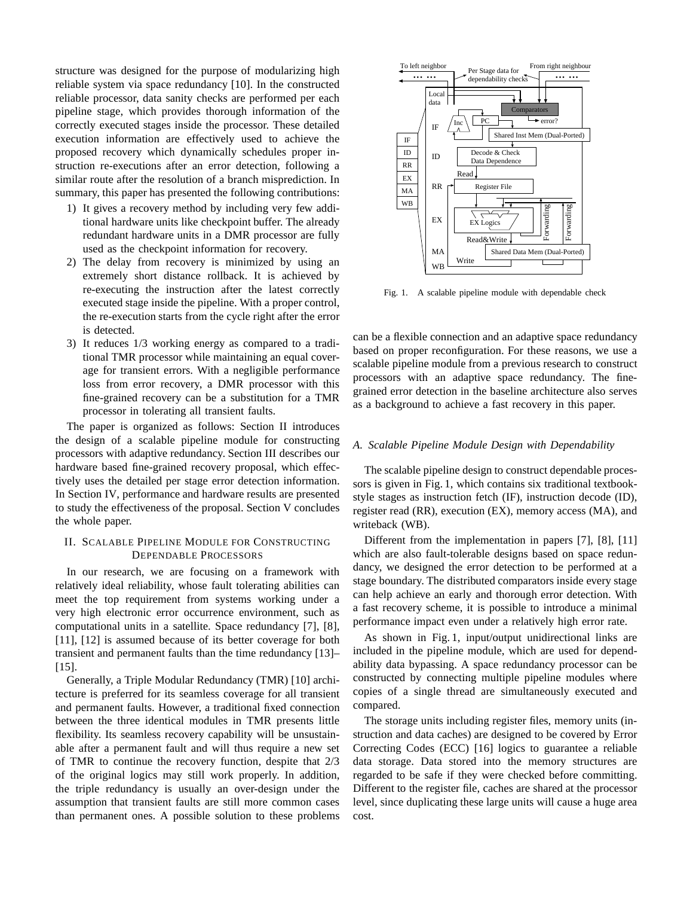structure was designed for the purpose of modularizing high reliable system via space redundancy [10]. In the constructed reliable processor, data sanity checks are performed per each pipeline stage, which provides thorough information of the correctly executed stages inside the processor. These detailed execution information are effectively used to achieve the proposed recovery which dynamically schedules proper instruction re-executions after an error detection, following a similar route after the resolution of a branch misprediction. In summary, this paper has presented the following contributions:

- 1) It gives a recovery method by including very few additional hardware units like checkpoint buffer. The already redundant hardware units in a DMR processor are fully used as the checkpoint information for recovery.
- 2) The delay from recovery is minimized by using an extremely short distance rollback. It is achieved by re-executing the instruction after the latest correctly executed stage inside the pipeline. With a proper control, the re-execution starts from the cycle right after the error is detected.
- 3) It reduces 1/3 working energy as compared to a traditional TMR processor while maintaining an equal coverage for transient errors. With a negligible performance loss from error recovery, a DMR processor with this fine-grained recovery can be a substitution for a TMR processor in tolerating all transient faults.

The paper is organized as follows: Section II introduces the design of a scalable pipeline module for constructing processors with adaptive redundancy. Section III describes our hardware based fine-grained recovery proposal, which effectively uses the detailed per stage error detection information. In Section IV, performance and hardware results are presented to study the effectiveness of the proposal. Section V concludes the whole paper.

## II. SCALABLE PIPELINE MODULE FOR CONSTRUCTING DEPENDABLE PROCESSORS

In our research, we are focusing on a framework with relatively ideal reliability, whose fault tolerating abilities can meet the top requirement from systems working under a very high electronic error occurrence environment, such as computational units in a satellite. Space redundancy [7], [8], [11], [12] is assumed because of its better coverage for both transient and permanent faults than the time redundancy [13]– [15].

Generally, a Triple Modular Redundancy (TMR) [10] architecture is preferred for its seamless coverage for all transient and permanent faults. However, a traditional fixed connection between the three identical modules in TMR presents little flexibility. Its seamless recovery capability will be unsustainable after a permanent fault and will thus require a new set of TMR to continue the recovery function, despite that 2/3 of the original logics may still work properly. In addition, the triple redundancy is usually an over-design under the assumption that transient faults are still more common cases than permanent ones. A possible solution to these problems



Fig. 1. A scalable pipeline module with dependable check

can be a flexible connection and an adaptive space redundancy based on proper reconfiguration. For these reasons, we use a scalable pipeline module from a previous research to construct processors with an adaptive space redundancy. The finegrained error detection in the baseline architecture also serves as a background to achieve a fast recovery in this paper.

## *A. Scalable Pipeline Module Design with Dependability*

The scalable pipeline design to construct dependable processors is given in Fig. 1, which contains six traditional textbookstyle stages as instruction fetch (IF), instruction decode (ID), register read (RR), execution (EX), memory access (MA), and writeback (WB).

Different from the implementation in papers [7], [8], [11] which are also fault-tolerable designs based on space redundancy, we designed the error detection to be performed at a stage boundary. The distributed comparators inside every stage can help achieve an early and thorough error detection. With a fast recovery scheme, it is possible to introduce a minimal performance impact even under a relatively high error rate.

As shown in Fig. 1, input/output unidirectional links are included in the pipeline module, which are used for dependability data bypassing. A space redundancy processor can be constructed by connecting multiple pipeline modules where copies of a single thread are simultaneously executed and compared.

The storage units including register files, memory units (instruction and data caches) are designed to be covered by Error Correcting Codes (ECC) [16] logics to guarantee a reliable data storage. Data stored into the memory structures are regarded to be safe if they were checked before committing. Different to the register file, caches are shared at the processor level, since duplicating these large units will cause a huge area cost.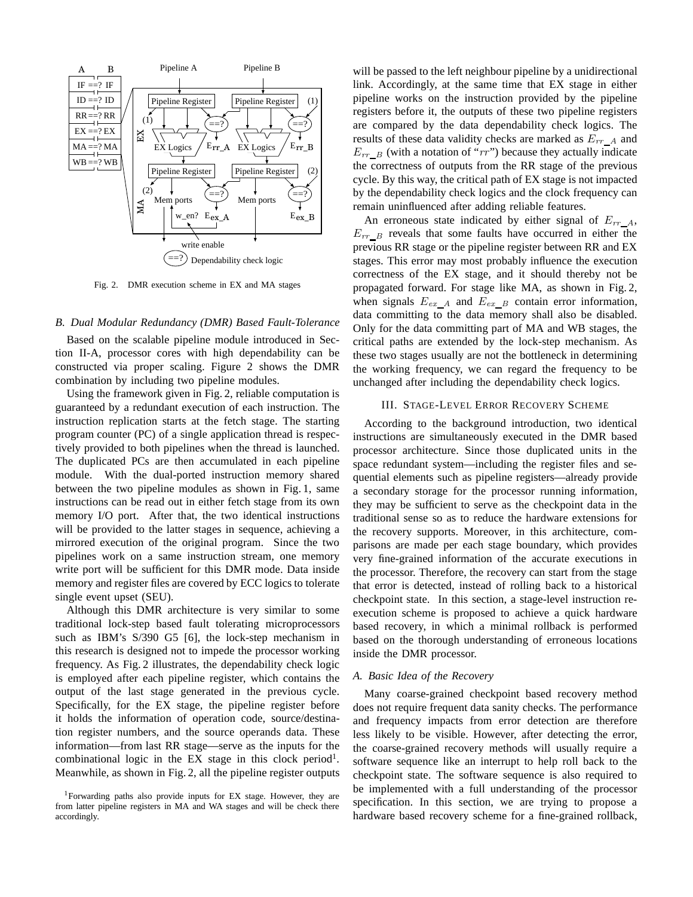

Fig. 2. DMR execution scheme in EX and MA stages

## *B. Dual Modular Redundancy (DMR) Based Fault-Tolerance*

Based on the scalable pipeline module introduced in Section II-A, processor cores with high dependability can be constructed via proper scaling. Figure 2 shows the DMR combination by including two pipeline modules.

Using the framework given in Fig. 2, reliable computation is guaranteed by a redundant execution of each instruction. The instruction replication starts at the fetch stage. The starting program counter (PC) of a single application thread is respectively provided to both pipelines when the thread is launched. The duplicated PCs are then accumulated in each pipeline module. With the dual-ported instruction memory shared between the two pipeline modules as shown in Fig. 1, same instructions can be read out in either fetch stage from its own memory I/O port. After that, the two identical instructions will be provided to the latter stages in sequence, achieving a mirrored execution of the original program. Since the two pipelines work on a same instruction stream, one memory write port will be sufficient for this DMR mode. Data inside memory and register files are covered by ECC logics to tolerate single event upset (SEU).

Although this DMR architecture is very similar to some traditional lock-step based fault tolerating microprocessors such as IBM's S/390 G5 [6], the lock-step mechanism in this research is designed not to impede the processor working frequency. As Fig. 2 illustrates, the dependability check logic is employed after each pipeline register, which contains the output of the last stage generated in the previous cycle. Specifically, for the EX stage, the pipeline register before it holds the information of operation code, source/destination register numbers, and the source operands data. These information—from last RR stage—serve as the inputs for the combinational logic in the EX stage in this clock period<sup>1</sup>. Meanwhile, as shown in Fig. 2, all the pipeline register outputs will be passed to the left neighbour pipeline by a unidirectional link. Accordingly, at the same time that EX stage in either pipeline works on the instruction provided by the pipeline registers before it, the outputs of these two pipeline registers are compared by the data dependability check logics. The results of these data validity checks are marked as  $E_{rr}$  A and  $E_{rr}$ <sub>B</sub> (with a notation of "rr") because they actually indicate the correctness of outputs from the RR stage of the previous cycle. By this way, the critical path of EX stage is not impacted by the dependability check logics and the clock frequency can remain uninfluenced after adding reliable features.

An erroneous state indicated by either signal of  $E_{rr}$  A,  $E_{rr}$  B reveals that some faults have occurred in either the previous RR stage or the pipeline register between RR and EX stages. This error may most probably influence the execution correctness of the EX stage, and it should thereby not be propagated forward. For stage like MA, as shown in Fig. 2, when signals  $E_{ex\_A}$  and  $E_{ex\_B}$  contain error information, data committing to the data memory shall also be disabled. Only for the data committing part of MA and WB stages, the critical paths are extended by the lock-step mechanism. As these two stages usually are not the bottleneck in determining the working frequency, we can regard the frequency to be unchanged after including the dependability check logics.

## III. STAGE-LEVEL ERROR RECOVERY SCHEME

According to the background introduction, two identical instructions are simultaneously executed in the DMR based processor architecture. Since those duplicated units in the space redundant system—including the register files and sequential elements such as pipeline registers—already provide a secondary storage for the processor running information, they may be sufficient to serve as the checkpoint data in the traditional sense so as to reduce the hardware extensions for the recovery supports. Moreover, in this architecture, comparisons are made per each stage boundary, which provides very fine-grained information of the accurate executions in the processor. Therefore, the recovery can start from the stage that error is detected, instead of rolling back to a historical checkpoint state. In this section, a stage-level instruction reexecution scheme is proposed to achieve a quick hardware based recovery, in which a minimal rollback is performed based on the thorough understanding of erroneous locations inside the DMR processor.

## *A. Basic Idea of the Recovery*

Many coarse-grained checkpoint based recovery method does not require frequent data sanity checks. The performance and frequency impacts from error detection are therefore less likely to be visible. However, after detecting the error, the coarse-grained recovery methods will usually require a software sequence like an interrupt to help roll back to the checkpoint state. The software sequence is also required to be implemented with a full understanding of the processor specification. In this section, we are trying to propose a hardware based recovery scheme for a fine-grained rollback,

<sup>&</sup>lt;sup>1</sup>Forwarding paths also provide inputs for EX stage. However, they are from latter pipeline registers in MA and WA stages and will be check there accordingly.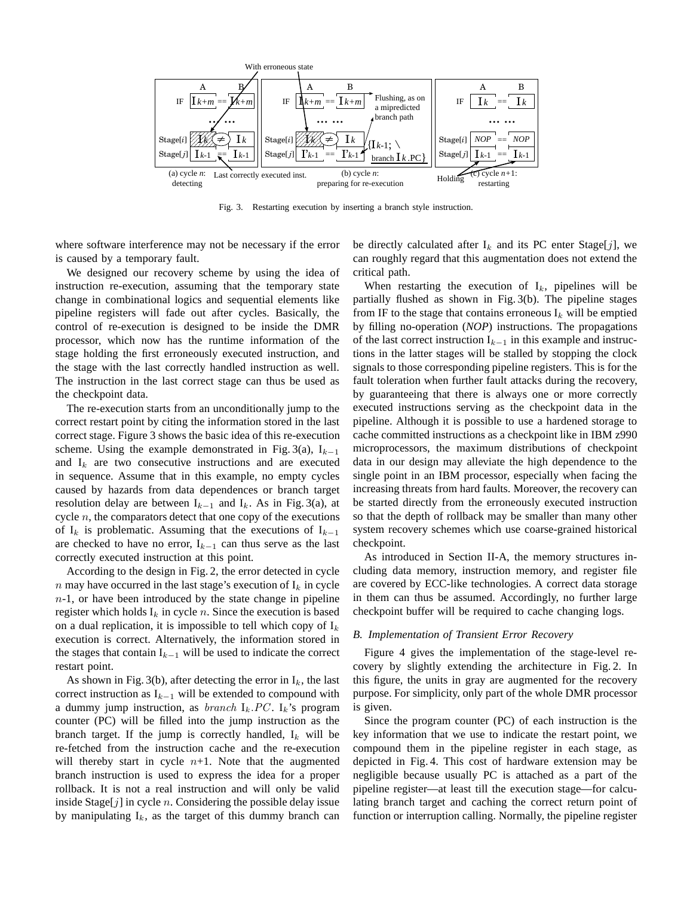

Fig. 3. Restarting execution by inserting a branch style instruction.

where software interference may not be necessary if the error is caused by a temporary fault.

We designed our recovery scheme by using the idea of instruction re-execution, assuming that the temporary state change in combinational logics and sequential elements like pipeline registers will fade out after cycles. Basically, the control of re-execution is designed to be inside the DMR processor, which now has the runtime information of the stage holding the first erroneously executed instruction, and the stage with the last correctly handled instruction as well. The instruction in the last correct stage can thus be used as the checkpoint data.

The re-execution starts from an unconditionally jump to the correct restart point by citing the information stored in the last correct stage. Figure 3 shows the basic idea of this re-execution scheme. Using the example demonstrated in Fig. 3(a),  $I_{k-1}$ and  $I_k$  are two consecutive instructions and are executed in sequence. Assume that in this example, no empty cycles caused by hazards from data dependences or branch target resolution delay are between  $I_{k-1}$  and  $I_k$ . As in Fig. 3(a), at cycle  $n$ , the comparators detect that one copy of the executions of  $I_k$  is problematic. Assuming that the executions of  $I_{k-1}$ are checked to have no error,  $I_{k-1}$  can thus serve as the last correctly executed instruction at this point.

According to the design in Fig. 2, the error detected in cycle n may have occurred in the last stage's execution of  $I_k$  in cycle  $n-1$ , or have been introduced by the state change in pipeline register which holds  $I_k$  in cycle n. Since the execution is based on a dual replication, it is impossible to tell which copy of  $I_k$ execution is correct. Alternatively, the information stored in the stages that contain  $I_{k-1}$  will be used to indicate the correct restart point.

As shown in Fig. 3(b), after detecting the error in  $I_k$ , the last correct instruction as  $I_{k-1}$  will be extended to compound with a dummy jump instruction, as *branch*  $I_k$ . *PC*.  $I_k$ 's program counter (PC) will be filled into the jump instruction as the branch target. If the jump is correctly handled,  $I_k$  will be re-fetched from the instruction cache and the re-execution will thereby start in cycle  $n+1$ . Note that the augmented branch instruction is used to express the idea for a proper rollback. It is not a real instruction and will only be valid inside Stage $[j]$  in cycle n. Considering the possible delay issue by manipulating  $I_k$ , as the target of this dummy branch can be directly calculated after  $I_k$  and its PC enter Stage[j], we can roughly regard that this augmentation does not extend the critical path.

When restarting the execution of  $I_k$ , pipelines will be partially flushed as shown in Fig. 3(b). The pipeline stages from IF to the stage that contains erroneous  $I_k$  will be emptied by filling no-operation (*NOP*) instructions. The propagations of the last correct instruction  $I_{k-1}$  in this example and instructions in the latter stages will be stalled by stopping the clock signals to those corresponding pipeline registers. This is for the fault toleration when further fault attacks during the recovery, by guaranteeing that there is always one or more correctly executed instructions serving as the checkpoint data in the pipeline. Although it is possible to use a hardened storage to cache committed instructions as a checkpoint like in IBM z990 microprocessors, the maximum distributions of checkpoint data in our design may alleviate the high dependence to the single point in an IBM processor, especially when facing the increasing threats from hard faults. Moreover, the recovery can be started directly from the erroneously executed instruction so that the depth of rollback may be smaller than many other system recovery schemes which use coarse-grained historical checkpoint.

As introduced in Section II-A, the memory structures including data memory, instruction memory, and register file are covered by ECC-like technologies. A correct data storage in them can thus be assumed. Accordingly, no further large checkpoint buffer will be required to cache changing logs.

## *B. Implementation of Transient Error Recovery*

Figure 4 gives the implementation of the stage-level recovery by slightly extending the architecture in Fig. 2. In this figure, the units in gray are augmented for the recovery purpose. For simplicity, only part of the whole DMR processor is given.

Since the program counter (PC) of each instruction is the key information that we use to indicate the restart point, we compound them in the pipeline register in each stage, as depicted in Fig. 4. This cost of hardware extension may be negligible because usually PC is attached as a part of the pipeline register—at least till the execution stage—for calculating branch target and caching the correct return point of function or interruption calling. Normally, the pipeline register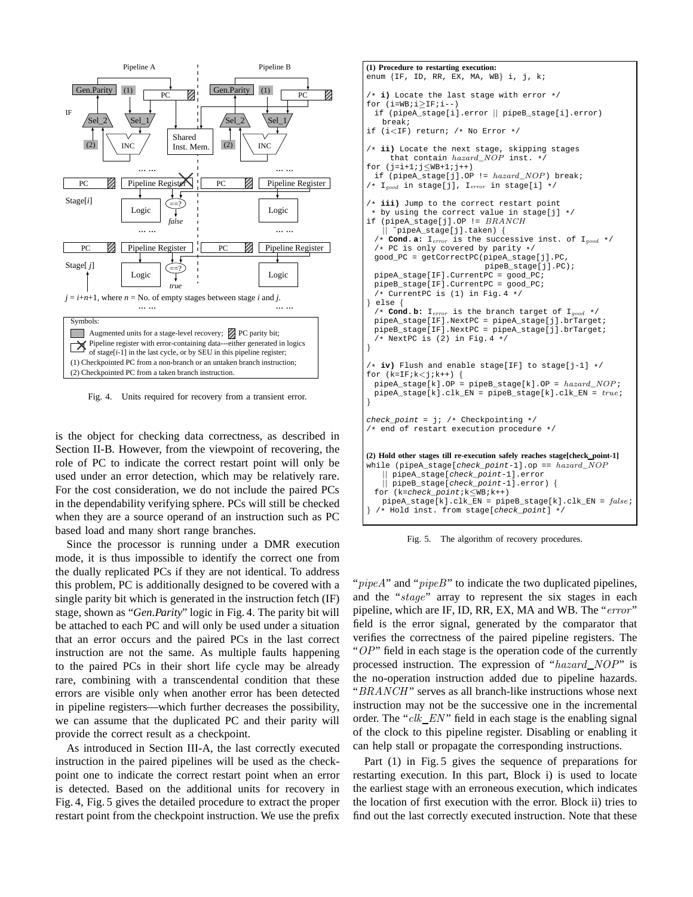

Fig. 4. Units required for recovery from a transient error.

is the object for checking data correctness, as described in Section II-B. However, from the viewpoint of recovering, the role of PC to indicate the correct restart point will only be used under an error detection, which may be relatively rare. For the cost consideration, we do not include the paired PCs in the dependability verifying sphere. PCs will still be checked when they are a source operand of an instruction such as PC based load and many short range branches.

Since the processor is running under a DMR execution mode, it is thus impossible to identify the correct one from the dually replicated PCs if they are not identical. To address this problem, PC is additionally designed to be covered with a single parity bit which is generated in the instruction fetch (IF) stage, shown as "*Gen.Parity*" logic in Fig. 4. The parity bit will be attached to each PC and will only be used under a situation that an error occurs and the paired PCs in the last correct instruction are not the same. As multiple faults happening to the paired PCs in their short life cycle may be already rare, combining with a transcendental condition that these errors are visible only when another error has been detected in pipeline registers—which further decreases the possibility, we can assume that the duplicated PC and their parity will provide the correct result as a checkpoint.

As introduced in Section III-A, the last correctly executed instruction in the paired pipelines will be used as the checkpoint one to indicate the correct restart point when an error is detected. Based on the additional units for recovery in Fig. 4, Fig. 5 gives the detailed procedure to extract the proper restart point from the checkpoint instruction. We use the prefix

```
(1) Procedure to restarting execution:
enum {IF, ID, RR, EX, MA, WB} i, j, k;
 /* i) Locate the last stage with error */
for (i=WB,i \geq IF,i--)if (pipeA_stage[i].error || pipeB_stage[i].error)
   break;
if (i<IF) return; /* No Error */
/* ii) Locate the next stage, skipping stages
that contain hazard_NOP inst. */
for (j=i+1; j \leWB+1; j++)
 if (pipeA_stage[j].OP != hazard_NOP) break;
\frac{1}{4} /* I<sub>good</sub> in stage[j], I<sub>error</sub> in stage[i] */
/* iii) Jump to the correct restart point
 * by using the correct value in stage[j] */
if (pipeA_stage[j].OP != BRANCH
      || ˜pipeA_stage[j].taken) {
  /* Cond.a: I<sub>error</sub> is the successive inst. of I<sub>good</sub> */
  /* PC is only covered by parity */
 good_PC = getCorrectPC(pipeA_stage[j].PC,
                            pipeB_stage[j].PC);
 pipeA_stage[IF].CurrentPC = good_PC;
 pipeB_stage[IF].CurrentPC = good_PC;
  \sqrt{*} CurrentPC is (1) in Fig. 4 \sqrt{*}} else {
  /* Cond. b: I<sub>error</sub> is the branch target of I<sub>good</sub> */
 pipeA_stage[IF].NextPC = pipeA_stage[j].brTarget;
 pipeB_stage[IF].NextPC = pipeA_stage[j].brTarget;
  /* NextPC is (2) in Fig. 4 */}
 /* iv) Flush and enable stage[IF] to stage[j-1] */
for (k=IF; k < j; k++) {
 pipeA_stage[k].OP = pipeB_stage[k].OP = hazard_NOP;
 pipeA_stage[k].clk_EN = pipeB_stage[k].clk_EN = true;
}
check point = i; /* Checkpointing */
/* end of restart execution procedure */
(2) Hold other stages till re-execution safely reaches stage[check point-1]
while (pipeA_stage[check_point-1].op == \, hazard_NOP
    || pipeA_stage[check_point-1].error
    || pipeB_stage[check_point-1].error) {
 for (k=check_point;k≤WB;k++)
   pipeA_stage[k].clk_EN = pipeB_stage[k].clk_EN = false;
  } /* Hold inst. from stage[check_point] */
```
Fig. 5. The algorithm of recovery procedures.

" $pipeA$ " and " $pipeB$ " to indicate the two duplicated pipelines, and the "stage" array to represent the six stages in each pipeline, which are IF, ID, RR, EX, MA and WB. The "error" field is the error signal, generated by the comparator that verifies the correctness of the paired pipeline registers. The " $OP$ " field in each stage is the operation code of the currently processed instruction. The expression of "hazard\_NOP" is the no-operation instruction added due to pipeline hazards. " $BRANCH$ " serves as all branch-like instructions whose next instruction may not be the successive one in the incremental order. The " $clk\_EN$ " field in each stage is the enabling signal of the clock to this pipeline register. Disabling or enabling it can help stall or propagate the corresponding instructions.

Part (1) in Fig. 5 gives the sequence of preparations for restarting execution. In this part, Block i) is used to locate the earliest stage with an erroneous execution, which indicates the location of first execution with the error. Block ii) tries to find out the last correctly executed instruction. Note that these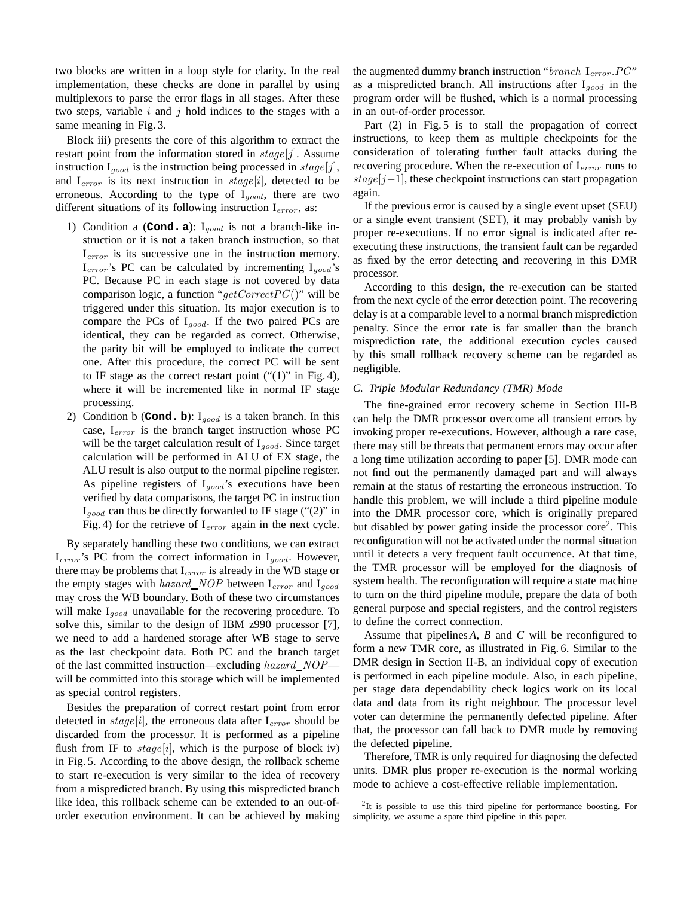two blocks are written in a loop style for clarity. In the real implementation, these checks are done in parallel by using multiplexors to parse the error flags in all stages. After these two steps, variable  $i$  and  $j$  hold indices to the stages with a same meaning in Fig. 3.

Block iii) presents the core of this algorithm to extract the restart point from the information stored in  $stage[j]$ . Assume instruction  $I_{good}$  is the instruction being processed in  $stage[j]$ , and  $I_{error}$  is its next instruction in  $stage[i]$ , detected to be erroneous. According to the type of  $I_{good}$ , there are two different situations of its following instruction  $I_{error}$ , as:

- 1) Condition a (**Cond. a**):  $I_{good}$  is not a branch-like instruction or it is not a taken branch instruction, so that  $I_{error}$  is its successive one in the instruction memory.  $I_{error}$ 's PC can be calculated by incrementing  $I_{good}$ 's PC. Because PC in each stage is not covered by data comparison logic, a function " $getCorrectPC()$ " will be triggered under this situation. Its major execution is to compare the PCs of  $I_{good}$ . If the two paired PCs are identical, they can be regarded as correct. Otherwise, the parity bit will be employed to indicate the correct one. After this procedure, the correct PC will be sent to IF stage as the correct restart point  $("1)"$  in Fig. 4), where it will be incremented like in normal IF stage processing.
- 2) Condition b (**Cond. b**):  $I_{good}$  is a taken branch. In this case,  $I_{error}$  is the branch target instruction whose PC will be the target calculation result of  $I_{good}$ . Since target calculation will be performed in ALU of EX stage, the ALU result is also output to the normal pipeline register. As pipeline registers of  $I_{good}$ 's executions have been verified by data comparisons, the target PC in instruction  $I_{good}$  can thus be directly forwarded to IF stage ("(2)" in Fig. 4) for the retrieve of  $I_{error}$  again in the next cycle.

By separately handling these two conditions, we can extract  $I_{error}$ 's PC from the correct information in  $I_{good}$ . However, there may be problems that  $I_{error}$  is already in the WB stage or the empty stages with hazard\_NOP between  $I_{error}$  and  $I_{good}$ may cross the WB boundary. Both of these two circumstances will make  $I_{good}$  unavailable for the recovering procedure. To solve this, similar to the design of IBM z990 processor [7], we need to add a hardened storage after WB stage to serve as the last checkpoint data. Both PC and the branch target of the last committed instruction—excluding hazard\_NOP will be committed into this storage which will be implemented as special control registers.

Besides the preparation of correct restart point from error detected in  $stage[i]$ , the erroneous data after  $I_{error}$  should be discarded from the processor. It is performed as a pipeline flush from IF to  $stage[i]$ , which is the purpose of block iv) in Fig. 5. According to the above design, the rollback scheme to start re-execution is very similar to the idea of recovery from a mispredicted branch. By using this mispredicted branch like idea, this rollback scheme can be extended to an out-oforder execution environment. It can be achieved by making the augmented dummy branch instruction "branch  $I_{error}.PC"$ as a mispredicted branch. All instructions after  $I_{good}$  in the program order will be flushed, which is a normal processing in an out-of-order processor.

Part (2) in Fig. 5 is to stall the propagation of correct instructions, to keep them as multiple checkpoints for the consideration of tolerating further fault attacks during the recovering procedure. When the re-execution of  $I_{error}$  runs to  $stage[j-1]$ , these checkpoint instructions can start propagation again.

If the previous error is caused by a single event upset (SEU) or a single event transient (SET), it may probably vanish by proper re-executions. If no error signal is indicated after reexecuting these instructions, the transient fault can be regarded as fixed by the error detecting and recovering in this DMR processor.

According to this design, the re-execution can be started from the next cycle of the error detection point. The recovering delay is at a comparable level to a normal branch misprediction penalty. Since the error rate is far smaller than the branch misprediction rate, the additional execution cycles caused by this small rollback recovery scheme can be regarded as negligible.

## *C. Triple Modular Redundancy (TMR) Mode*

The fine-grained error recovery scheme in Section III-B can help the DMR processor overcome all transient errors by invoking proper re-executions. However, although a rare case, there may still be threats that permanent errors may occur after a long time utilization according to paper [5]. DMR mode can not find out the permanently damaged part and will always remain at the status of restarting the erroneous instruction. To handle this problem, we will include a third pipeline module into the DMR processor core, which is originally prepared but disabled by power gating inside the processor core<sup>2</sup>. This reconfiguration will not be activated under the normal situation until it detects a very frequent fault occurrence. At that time, the TMR processor will be employed for the diagnosis of system health. The reconfiguration will require a state machine to turn on the third pipeline module, prepare the data of both general purpose and special registers, and the control registers to define the correct connection.

Assume that pipelines *A*, *B* and *C* will be reconfigured to form a new TMR core, as illustrated in Fig. 6. Similar to the DMR design in Section II-B, an individual copy of execution is performed in each pipeline module. Also, in each pipeline, per stage data dependability check logics work on its local data and data from its right neighbour. The processor level voter can determine the permanently defected pipeline. After that, the processor can fall back to DMR mode by removing the defected pipeline.

Therefore, TMR is only required for diagnosing the defected units. DMR plus proper re-execution is the normal working mode to achieve a cost-effective reliable implementation.

<sup>2</sup>It is possible to use this third pipeline for performance boosting. For simplicity, we assume a spare third pipeline in this paper.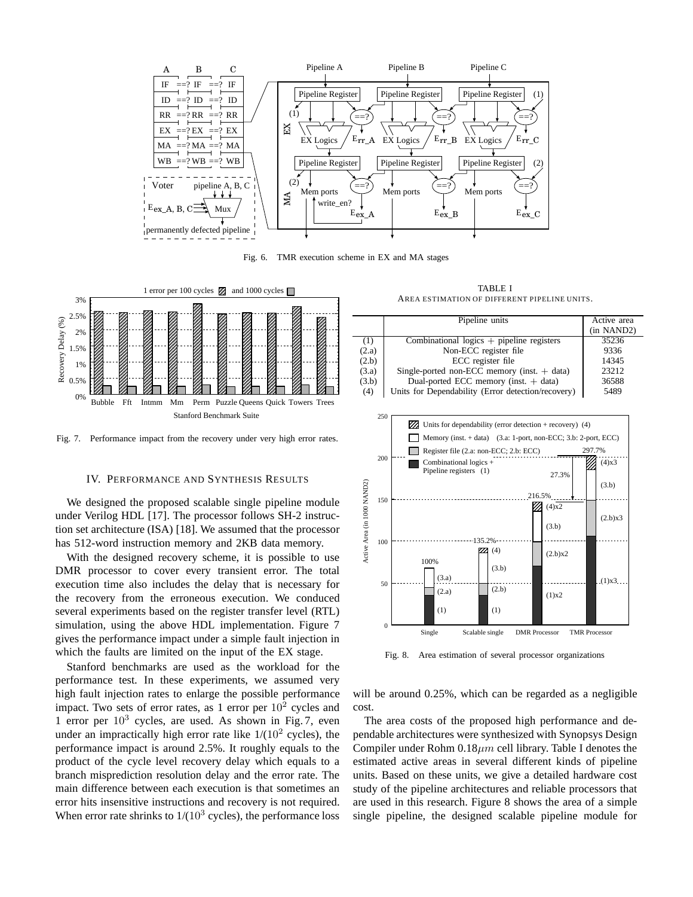

Fig. 6. TMR execution scheme in EX and MA stages



Fig. 7. Performance impact from the recovery under very high error rates.

## IV. PERFORMANCE AND SYNTHESIS RESULTS

We designed the proposed scalable single pipeline module under Verilog HDL [17]. The processor follows SH-2 instruction set architecture (ISA) [18]. We assumed that the processor has 512-word instruction memory and 2KB data memory.

With the designed recovery scheme, it is possible to use DMR processor to cover every transient error. The total execution time also includes the delay that is necessary for the recovery from the erroneous execution. We conduced several experiments based on the register transfer level (RTL) simulation, using the above HDL implementation. Figure 7 gives the performance impact under a simple fault injection in which the faults are limited on the input of the EX stage.

Stanford benchmarks are used as the workload for the performance test. In these experiments, we assumed very high fault injection rates to enlarge the possible performance impact. Two sets of error rates, as 1 error per  $10^2$  cycles and 1 error per 10<sup>3</sup> cycles, are used. As shown in Fig. 7, even under an impractically high error rate like  $1/(10^2 \text{ cycles})$ , the performance impact is around 2.5%. It roughly equals to the product of the cycle level recovery delay which equals to a branch misprediction resolution delay and the error rate. The main difference between each execution is that sometimes an error hits insensitive instructions and recovery is not required. When error rate shrinks to  $1/(10^3 \text{ cycles})$ , the performance loss

TABLE I AREA ESTIMATION OF DIFFERENT PIPELINE UNITS.

|       | Pipeline units                                     | Active area |
|-------|----------------------------------------------------|-------------|
|       |                                                    | (in NAND2)  |
| (1)   | Combinational logics $+$ pipeline registers        | 35236       |
| (2.a) | Non-ECC register file                              | 9336        |
| (2.b) | ECC register file                                  | 14345       |
| (3.a) | Single-ported non-ECC memory (inst. $+$ data)      | 23212       |
| (3.b) | Dual-ported ECC memory (inst. $+$ data)            | 36588       |
| (4)   | Units for Dependability (Error detection/recovery) | 5489        |



Fig. 8. Area estimation of several processor organizations

will be around  $0.25\%$ , which can be regarded as a negligible cost.

The area costs of the proposed high performance and dependable architectures were synthesized with Synopsys Design Compiler under Rohm  $0.18 \mu m$  cell library. Table I denotes the estimated active areas in several different kinds of pipeline units. Based on these units, we give a detailed hardware cost study of the pipeline architectures and reliable processors that are used in this research. Figure 8 shows the area of a simple single pipeline, the designed scalable pipeline module for